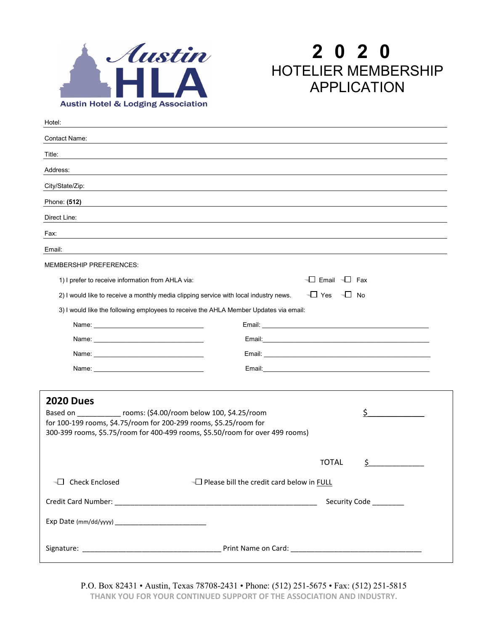

## **2 0 2 0** HOTELIER MEMBERSHIP APPLICATION

| Hotel:                                                                                                                                                                                                                                         |                                                                                                               |  |
|------------------------------------------------------------------------------------------------------------------------------------------------------------------------------------------------------------------------------------------------|---------------------------------------------------------------------------------------------------------------|--|
| Contact Name:                                                                                                                                                                                                                                  |                                                                                                               |  |
| Title:                                                                                                                                                                                                                                         |                                                                                                               |  |
| Address:                                                                                                                                                                                                                                       |                                                                                                               |  |
| City/State/Zip:                                                                                                                                                                                                                                |                                                                                                               |  |
| Phone: (512)                                                                                                                                                                                                                                   |                                                                                                               |  |
| Direct Line:                                                                                                                                                                                                                                   |                                                                                                               |  |
| Fax:                                                                                                                                                                                                                                           |                                                                                                               |  |
| Email:                                                                                                                                                                                                                                         |                                                                                                               |  |
| <b>MEMBERSHIP PREFERENCES:</b>                                                                                                                                                                                                                 |                                                                                                               |  |
| 1) I prefer to receive information from AHLA via:                                                                                                                                                                                              | $\Box$ Email $\Box$ Fax                                                                                       |  |
|                                                                                                                                                                                                                                                | $\Box$ Yes $\Box$ No<br>2) I would like to receive a monthly media clipping service with local industry news. |  |
|                                                                                                                                                                                                                                                | 3) I would like the following employees to receive the AHLA Member Updates via email:                         |  |
|                                                                                                                                                                                                                                                |                                                                                                               |  |
|                                                                                                                                                                                                                                                |                                                                                                               |  |
|                                                                                                                                                                                                                                                |                                                                                                               |  |
| Name: Name and the state of the state of the state of the state of the state of the state of the state of the state of the state of the state of the state of the state of the state of the state of the state of the state of                 |                                                                                                               |  |
| <b>2020 Dues</b><br>Based on __________ rooms: (\$4.00/room below 100, \$4.25/room<br>\$<br>for 100-199 rooms, \$4.75/room for 200-299 rooms, \$5.25/room for<br>300-399 rooms, \$5.75/room for 400-499 rooms, \$5.50/room for over 499 rooms) |                                                                                                               |  |
|                                                                                                                                                                                                                                                | \$<br><b>TOTAL</b>                                                                                            |  |
| <b>Example 2</b> Check Enclosed                                                                                                                                                                                                                | └ Please bill the credit card below in FULL                                                                   |  |
|                                                                                                                                                                                                                                                | Security Code _______                                                                                         |  |
|                                                                                                                                                                                                                                                |                                                                                                               |  |
|                                                                                                                                                                                                                                                |                                                                                                               |  |

P.O. Box 82431 • Austin, Texas 78708-2431 • Phone: (512) 251-5675 • Fax: (512) 251-5815 **THANK YOU FOR YOUR CONTINUED SUPPORT OF THE ASSOCIATION AND INDUSTRY.**